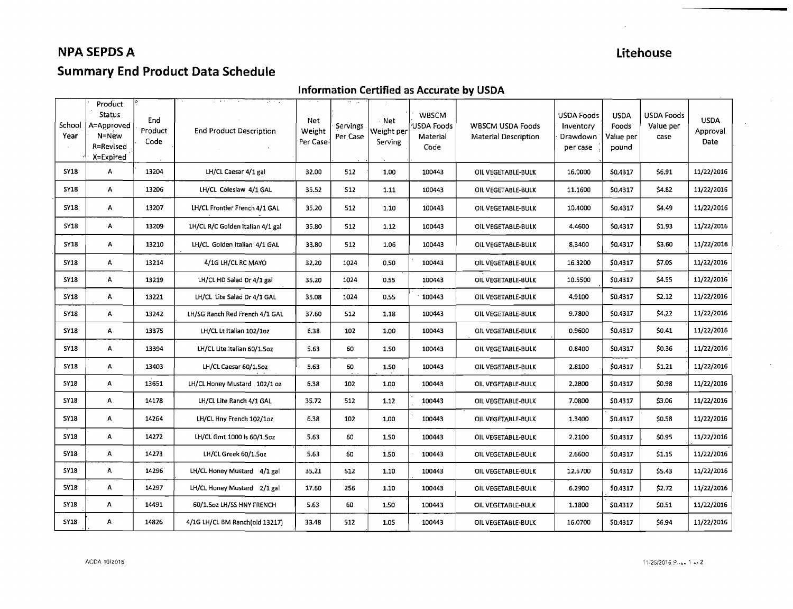## **NPA SEPDS A** Litehouse

# **Summary End Product Data Schedule**

#### **Information Certified as Accurate by USDA**

| School<br>Year | Product<br>Status<br>A=Approved<br>N=New<br>R=Revised<br>X=Expired | End<br>Product<br>Code | <b>End Product Description</b>   | Net<br>Weight<br>Per Case- | Servings<br>Per Case | · Net<br>Weight per<br>Serving | WBSCM<br>USDA Foods<br>Material<br>Code | <b>WBSCM USDA Foods</b><br><b>Material Description</b> | <b>USDA Foods</b><br>Inventory<br>Drawdown<br>per case | <b>USDA</b><br>Foods<br>Value per<br>pound | USDA Foods<br>Value per<br>case | <b>USDA</b><br>Approval<br>Date |
|----------------|--------------------------------------------------------------------|------------------------|----------------------------------|----------------------------|----------------------|--------------------------------|-----------------------------------------|--------------------------------------------------------|--------------------------------------------------------|--------------------------------------------|---------------------------------|---------------------------------|
| <b>SY18</b>    | A                                                                  | 13204                  | LH/CL Caesar 4/1 gal             | 32.00                      | 512                  | 1.00                           | 100443                                  | OIL VEGETABLE-BULK                                     | 16,0000                                                | S0.4317                                    | \$6.91                          | 11/22/2016                      |
| <b>SY18</b>    | A                                                                  | 13206                  | LH/CL Coleslaw 4/1 GAL           | 35.52                      | <b>S12</b>           | 1.11                           | 100443                                  | OIL VEGETABLE-BULK                                     | 11.1600                                                | \$0.4317                                   | \$4.82                          | 11/22/2016                      |
| <b>SY18</b>    | Α                                                                  | 13207                  | LH/CL Frontier French 4/1 GAL    | 35,20                      | 512                  | 1.10                           | 100443                                  | OIL VEGETABLE-BULK                                     | 10.4000                                                | \$0.4317                                   | \$4.49                          | 11/22/2016                      |
| <b>SY18</b>    | Α                                                                  | 13209                  | LH/CL R/C Golden Italian 4/1 gal | 35.80                      | 512                  | 1.12                           | 100443                                  | OIL VEGETABLE-BULK                                     | 4.4600                                                 | \$0.4317                                   | \$1.93                          | 11/22/2016                      |
| <b>SY18</b>    | Α                                                                  | 13210                  | LH/CL Golden Italian 4/1 GAL     | 33.80                      | 512                  | 1.06                           | 100443                                  | OIL VEGETABLE-BULK                                     | 8.3400                                                 | \$0.4317                                   | \$3.60                          | 11/22/2016                      |
| <b>5Y18</b>    | Α                                                                  | 13214                  | 4/1G LH/CL RC MAYO               | 32.20                      | 1024                 | 0.50                           | 100443                                  | OIL VEGETABLE-BULK                                     | 16.3200                                                | \$0.4317                                   | \$7.0S                          | 11/22/2016                      |
| SY18           | A                                                                  | 13219                  | LH/CL HD Salad Dr 4/1 gal        | 35.20                      | 1024                 | 0.55                           | 100443                                  | OIL VEGETABLE-BULK                                     | 10.5500                                                | \$0,4317                                   | \$4.55                          | 11/22/2016                      |
| <b>SY18</b>    | Α                                                                  | 13221                  | LH/CL Lite Salad Dr 4/1 GAL      | 35.08                      | 1024                 | 0.55                           | 100443                                  | OIL VEGETABLE-BULK                                     | 4.9100                                                 | \$0.4317                                   | \$2.12                          | 11/22/2016                      |
| 5Y18           | A                                                                  | 13242                  | LH/SG Ranch Red French 4/1 GAL   | 37.60                      | 512                  | 1.18                           | 100443                                  | OIL VEGETABLE-BULK                                     | 9.7800                                                 | \$0.4317                                   | \$4,22                          | 11/22/2016                      |
| <b>SY18</b>    | Α                                                                  | 13375                  | LH/CL Lt Italian 102/1oz         | 6.38                       | 102                  | 1.00                           | 100443                                  | OIL VEGETABLE-BULK                                     | 0.9600                                                 | \$0.4317                                   | \$0.41                          | 11/22/2016                      |
| <b>SY18</b>    | Α                                                                  | 13394                  | LH/CL Lite Italian 60/1,5oz      | 5.63                       | 60                   | 1.50                           | 100443                                  | OIL VEGETABLE-BULK                                     | 0,8400                                                 | \$0.4317                                   | \$0.36                          | 11/22/2016                      |
| <b>SY18</b>    | Α                                                                  | 13403                  | LH/CL Caesar 60/1.5oz            | 5.63                       | 60                   | 1.50                           | 100443                                  | OIL VEGETABLE-BULK                                     | 2,8100                                                 | \$0.4317                                   | \$1.21                          | 11/22/2016                      |
| <b>SY18</b>    | Α                                                                  | 13651                  | LH/CL Honey Mustard 102/1 oz     | 6,38                       | 102                  | 1.00                           | 100443                                  | OIL VEGETABLE-BULK                                     | 2.2800                                                 | \$0.4317                                   | \$0.98                          | 11/22/2016                      |
| <b>SY18</b>    | A                                                                  | 14178                  | LH/CL Lite Ranch 4/1 GAL         | 35.72                      | 512                  | 1.12                           | 100443                                  | OIL VEGETABLE-BULK                                     | 7.0800                                                 | \$0.4317                                   | \$3.06                          | 11/22/2016                      |
| <b>SY18</b>    | A                                                                  | 14264                  | LH/CL Hny French 102/1oz         | 6.38                       | 102                  | 1.00                           | 100443                                  | OIL VEGETABLE-BULK                                     | 1.3400                                                 | \$0.4317                                   | \$0,58                          | 11/22/2016                      |
| <b>SY18</b>    | A                                                                  | 14272                  | LH/CL Gmt 1000 Is 60/1.5oz       | 5.63                       | 60                   | 1,50                           | 100443                                  | OIL VEGETABLE-BULK                                     | 2.2100                                                 | \$0.4317                                   | \$0.95                          | 11/22/2016                      |
| <b>5Y18</b>    | A                                                                  | 14273                  | LH/CL Greek 60/1.5gz             | 5.63                       | 60                   | 1.50                           | 100443                                  | OIL VEGETABLE-BULK                                     | 2,6600                                                 | \$0.4317                                   | \$1.15                          | 11/22/2016                      |
| <b>SY18</b>    | Α                                                                  | 14296                  | LH/CL Honey Mustard 4/1 gal      | 35,21                      | 512                  | 1.10                           | 100443                                  | OIL VEGETABLE-BULK                                     | 12,5700                                                | 50.4317                                    | \$5.43                          | 11/22/2016                      |
| <b>SY18</b>    | A                                                                  | 14297                  | LH/CL Honey Mustard 2/1 gal      | 17.60                      | 256                  | 1.10                           | 100443                                  | OIL VEGETABLE-BULK                                     | 6,2900                                                 | \$0.4317                                   | \$2.72                          | 11/22/2016                      |
| <b>SY18</b>    | Α                                                                  | 14491                  | 60/1.5oz LH/SS HNY FRENCH        | 5.63                       | 60                   | 1.50                           | 100443                                  | OIL VEGETABLE-BULK                                     | 1.1800                                                 | \$0.4317                                   | \$0.51                          | 11/22/2016                      |
| <b>SY18</b>    | Α                                                                  | 14826                  | 4/1G LH/CL BM Ranch(old 13217)   | 33.48                      | 512                  | 1.05                           | 100443                                  | OIL VEGETABLE-BULK                                     | 16.0700                                                | \$0.4317                                   | \$6.94                          | 11/22/2016                      |